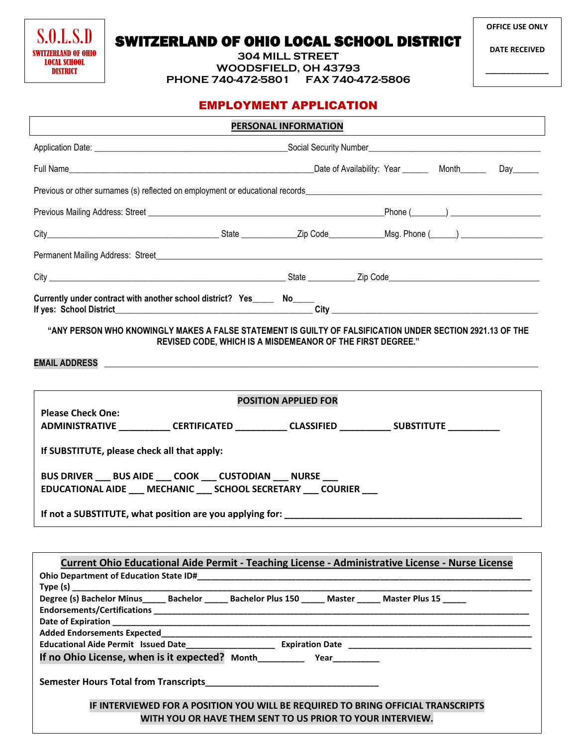S.O.L.S.D SWITZERLAND OF OHIO LOCAL SCHOOL **DISTRICT** 

**OFFICE USE ONLY**

**\_\_\_\_\_\_\_\_\_\_\_\_\_\_\_**

**304 MILL STREET WOODSFIELD, OH 43793 PHONE 740-472-5801 FAX 740-472-5806**

| PERSONAL INFORMATION                                                                                                                                                                                                           |  |  |  |  |
|--------------------------------------------------------------------------------------------------------------------------------------------------------------------------------------------------------------------------------|--|--|--|--|
|                                                                                                                                                                                                                                |  |  |  |  |
|                                                                                                                                                                                                                                |  |  |  |  |
| Previous or other surnames (s) reflected on employment or educational records entering the substitution of the surface of the surface of the surface of the surface of the surface of the surface of the surface of the surfac |  |  |  |  |
|                                                                                                                                                                                                                                |  |  |  |  |
|                                                                                                                                                                                                                                |  |  |  |  |
|                                                                                                                                                                                                                                |  |  |  |  |
|                                                                                                                                                                                                                                |  |  |  |  |
|                                                                                                                                                                                                                                |  |  |  |  |
| "ANY PERSON WHO KNOWINGLY MAKES A FALSE STATEMENT IS GUILTY OF FALSIFICATION UNDER SECTION 2921.13 OF THE<br>REVISED CODE, WHICH IS A MISDEMEANOR OF THE FIRST DEGREE."                                                        |  |  |  |  |
| EMAIL ADDRESS NATIONAL CONTRACT CONTRACT OF A STATE OF A STATE OF A STATE OF A STATE OF A STATE OF A STATE OF A                                                                                                                |  |  |  |  |
|                                                                                                                                                                                                                                |  |  |  |  |
| <b>POSITION APPLIED FOR</b>                                                                                                                                                                                                    |  |  |  |  |
| <b>Please Check One:</b><br>ADMINISTRATIVE ____________CERTIFICATED ___________CLASSIFIED ____________SUBSTITUTE ____________                                                                                                  |  |  |  |  |
| If SUBSTITUTE, please check all that apply:                                                                                                                                                                                    |  |  |  |  |
| BUS DRIVER ___ BUS AIDE ___ COOK ___ CUSTODIAN ___ NURSE ___<br>EDUCATIONAL AIDE __ MECHANIC __ SCHOOL SECRETARY __ COURIER __                                                                                                 |  |  |  |  |
| If not a SUBSTITUTE, what position are you applying for: ________________________                                                                                                                                              |  |  |  |  |
|                                                                                                                                                                                                                                |  |  |  |  |
| Current Ohio Educational Aide Permit - Teaching License - Administrative License - Nurse License                                                                                                                               |  |  |  |  |
|                                                                                                                                                                                                                                |  |  |  |  |
|                                                                                                                                                                                                                                |  |  |  |  |
| If no Ohio License, when is it expected? Month___________________________________                                                                                                                                              |  |  |  |  |
|                                                                                                                                                                                                                                |  |  |  |  |
| IF INTERVIEWED FOR A POSITION YOU WILL BE REQUIRED TO BRING OFFICIAL TRANSCRIPTS<br>WITH YOU OR HAVE THEM SENT TO US PRIOR TO YOUR INTERVIEW.                                                                                  |  |  |  |  |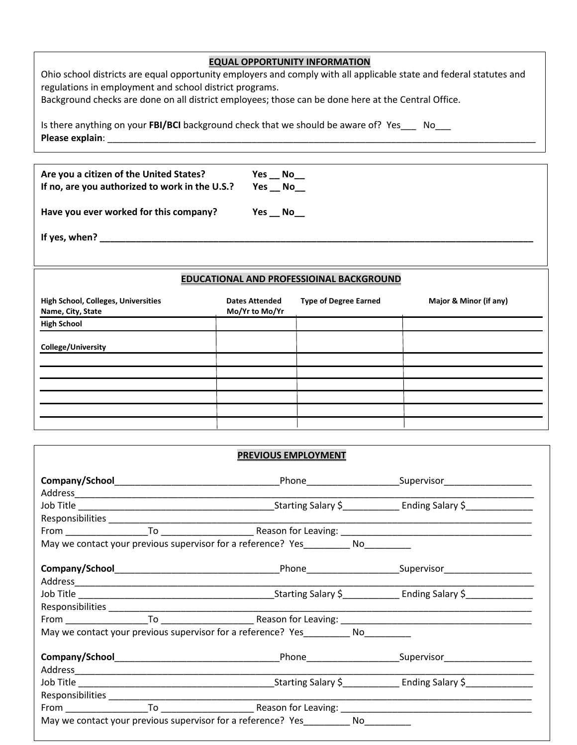## **EQUAL OPPORTUNITY INFORMATION**

Ohio school districts are equal opportunity employers and comply with all applicable state and federal statutes and regulations in employment and school district programs.

Background checks are done on all district employees; those can be done here at the Central Office.

Is there anything on your **FBI/BCI** background check that we should be aware of? Yes\_\_\_ No\_\_\_ **Please explain**: \_\_\_\_\_\_\_\_\_\_\_\_\_\_\_\_\_\_\_\_\_\_\_\_\_\_\_\_\_\_\_\_\_\_\_\_\_\_\_\_\_\_\_\_\_\_\_\_\_\_\_\_\_\_\_\_\_\_\_\_\_\_\_\_\_\_\_\_\_\_\_\_\_\_\_\_\_\_\_\_\_\_\_

| Are you a citizen of the United States?<br>If no, are you authorized to work in the U.S.? | Yes $\_\$ No $\_\_$<br>Yes No |
|-------------------------------------------------------------------------------------------|-------------------------------|
| Have you ever worked for this company?                                                    | Yes $\_\text{No}\_\text{on}$  |
| If yes, when?                                                                             |                               |

## **EDUCATIONAL AND PROFESSIOINAL BACKGROUND**

| High School, Colleges, Universities<br>Name, City, State | <b>Dates Attended</b><br>Mo/Yr to Mo/Yr | <b>Type of Degree Earned</b> | Major & Minor (if any) |
|----------------------------------------------------------|-----------------------------------------|------------------------------|------------------------|
| <b>High School</b>                                       |                                         |                              |                        |
| College/University                                       |                                         |                              |                        |
|                                                          |                                         |                              |                        |
|                                                          |                                         |                              |                        |
|                                                          |                                         |                              |                        |
|                                                          |                                         |                              |                        |
|                                                          |                                         |                              |                        |
|                                                          |                                         |                              |                        |

| <b>PREVIOUS EMPLOYMENT</b>                                                                                     |  |
|----------------------------------------------------------------------------------------------------------------|--|
|                                                                                                                |  |
|                                                                                                                |  |
|                                                                                                                |  |
|                                                                                                                |  |
|                                                                                                                |  |
| May we contact your previous supervisor for a reference? Yes__________ No________                              |  |
|                                                                                                                |  |
|                                                                                                                |  |
|                                                                                                                |  |
|                                                                                                                |  |
|                                                                                                                |  |
| May we contact your previous supervisor for a reference? Yes__________ No________                              |  |
|                                                                                                                |  |
| Job Title 1990 Contract Communication Contract Communication Communication Communication Communication Communi |  |
|                                                                                                                |  |
|                                                                                                                |  |
| May we contact your previous supervisor for a reference? Yes No                                                |  |